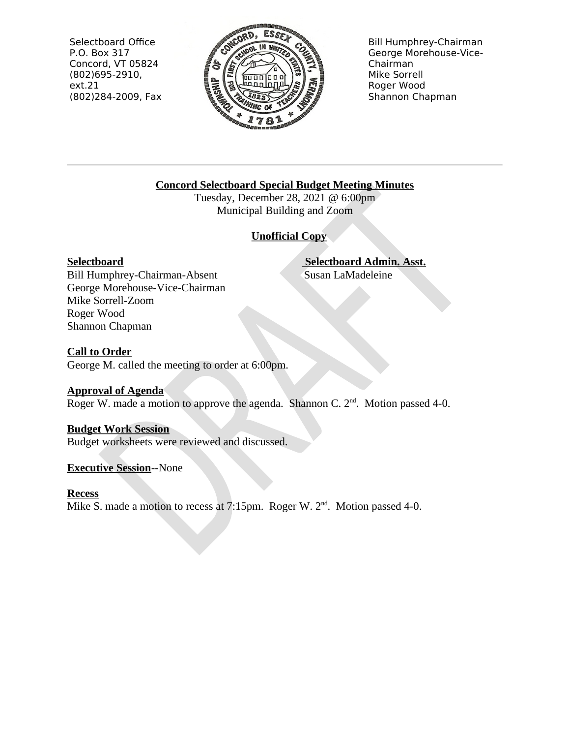Selectboard Office P.O. Box 317 Concord, VT 05824  $(802)695 - 2910,$  $ext.21$ (802)284-2009, Fax



**Bill Humphrey-Chairman** George Morehouse-Vice-Chairman Mike Sorrell Roger Wood Shannon Chapman

# **Concord Selectboard Special Budget Meeting Minutes**

Tuesday, December 28, 2021 @ 6:00pm Municipal Building and Zoom

# **Unofficial Copy**

# **Selectboard**

**Selectboard Admin. Asst.** Susan LaMadeleine

Bill Humphrey-Chairman-Absent George Morehouse-Vice-Chairman Mike Sorrell-Zoom Roger Wood Shannon Chapman

# **Call to Order**

George M. called the meeting to order at 6:00pm.

# **Approval of Agenda**

Roger W. made a motion to approve the agenda. Shannon C.  $2<sup>nd</sup>$ . Motion passed 4-0.

# **Budget Work Session**

Budget worksheets were reviewed and discussed.

# **Executive Session--None**

# **Recess**

Mike S. made a motion to recess at 7:15pm. Roger W.  $2<sup>nd</sup>$ . Motion passed 4-0.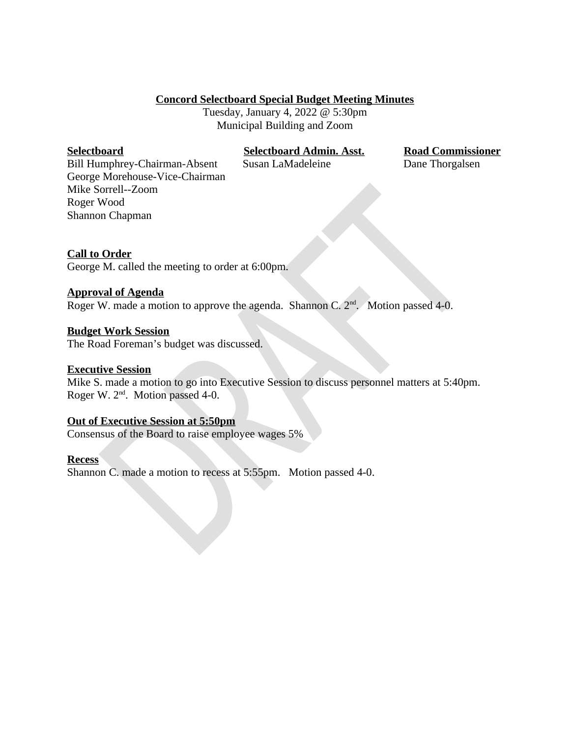## **Concord Selectboard Special Budget Meeting Minutes**

Tuesday, January 4, 2022 @ 5:30pm Municipal Building and Zoom

#### **Selectboard**

**Selectboard Admin. Asst.** 

Susan LaMadeleine

**Road Commissioner** Dane Thorgalsen

Bill Humphrey-Chairman-Absent George Morehouse-Vice-Chairman Mike Sorrell--Zoom Roger Wood Shannon Chapman

## **Call to Order**

George M. called the meeting to order at 6:00pm.

#### **Approval of Agenda**

Roger W. made a motion to approve the agenda. Shannon C.  $2<sup>nd</sup>$ . Motion passed 4-0.

#### **Budget Work Session**

The Road Foreman's budget was discussed.

#### **Executive Session**

Mike S. made a motion to go into Executive Session to discuss personnel matters at 5:40pm. Roger W. 2<sup>nd</sup>. Motion passed 4-0.

#### **Out of Executive Session at 5:50pm**

Consensus of the Board to raise employee wages 5%

#### **Recess**

Shannon C. made a motion to recess at 5:55pm. Motion passed 4-0.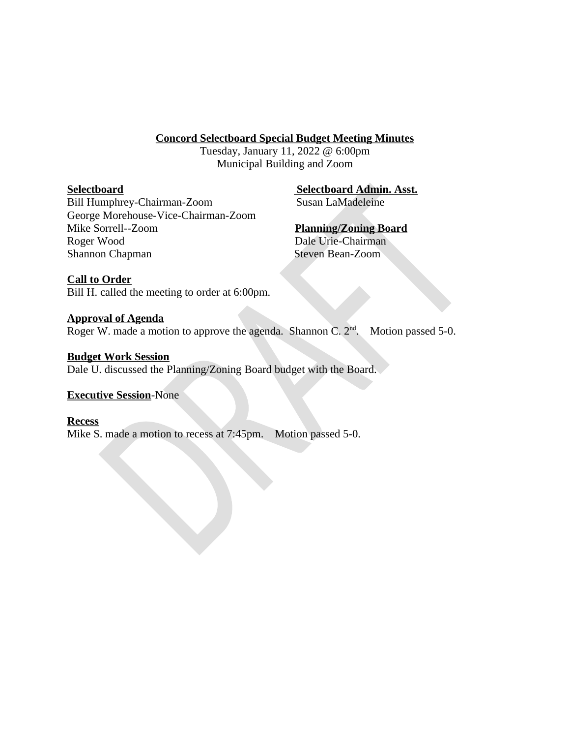## **Concord Selectboard Special Budget Meeting Minutes**

Tuesday, January 11, 2022 @ 6:00pm Municipal Building and Zoom

## **Selectboard**

**Selectboard Admin. Asst.** Susan LaMadeleine

Bill Humphrey-Chairman-Zoom George Morehouse-Vice-Chairman-Zoom Mike Sorrell--Zoom Roger Wood Shannon Chapman

**Planning/Zoning Board** Dale Urie-Chairman

**Steven Bean-Zoom** 

## **Call to Order**

Bill H. called the meeting to order at 6:00pm.

## **Approval of Agenda**

Roger W. made a motion to approve the agenda. Shannon C.  $2^{nd}$ . Motion passed 5-0.

## **Budget Work Session**

Dale U. discussed the Planning/Zoning Board budget with the Board.

## **Executive Session-None**

## **Recess**

Mike S. made a motion to recess at 7:45pm. Motion passed 5-0.